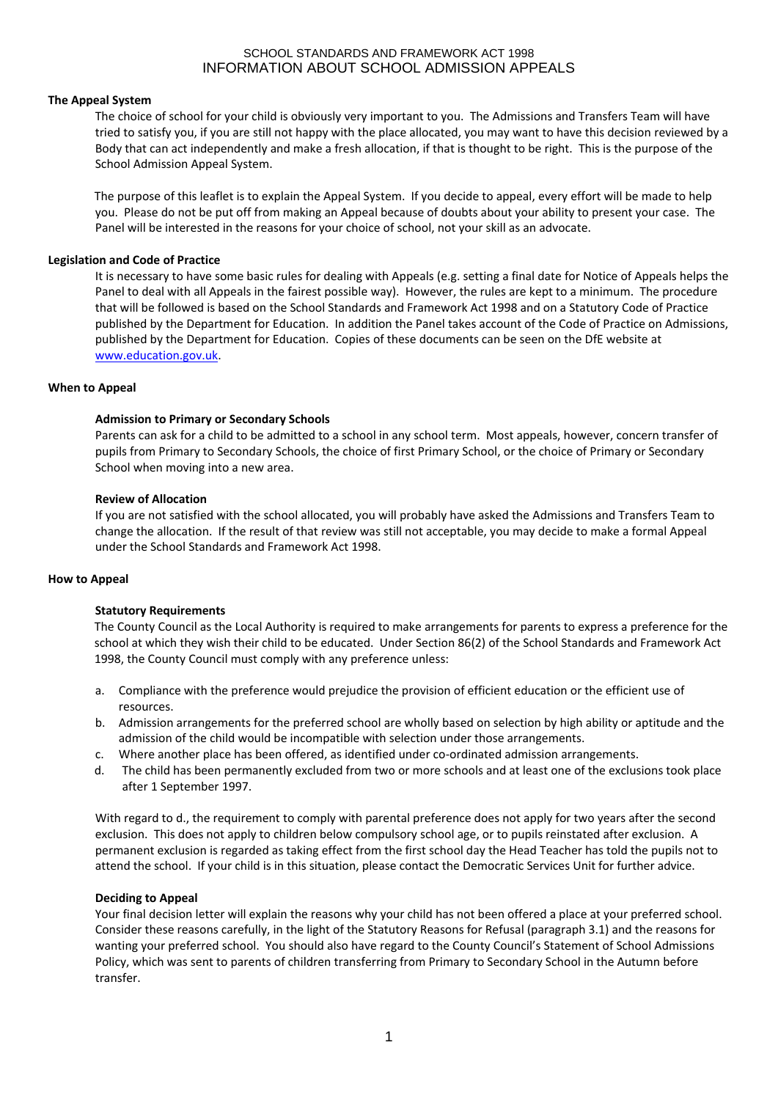# **The Appeal System**

The choice of school for your child is obviously very important to you. The Admissions and Transfers Team will have tried to satisfy you, if you are still not happy with the place allocated, you may want to have this decision reviewed by a Body that can act independently and make a fresh allocation, if that is thought to be right. This is the purpose of the School Admission Appeal System.

The purpose of this leaflet is to explain the Appeal System. If you decide to appeal, every effort will be made to help you. Please do not be put off from making an Appeal because of doubts about your ability to present your case. The Panel will be interested in the reasons for your choice of school, not your skill as an advocate.

# **Legislation and Code of Practice**

It is necessary to have some basic rules for dealing with Appeals (e.g. setting a final date for Notice of Appeals helps the Panel to deal with all Appeals in the fairest possible way). However, the rules are kept to a minimum. The procedure that will be followed is based on the School Standards and Framework Act 1998 and on a Statutory Code of Practice published by the Department for Education. In addition the Panel takes account of the Code of Practice on Admissions, published by the Department for Education. Copies of these documents can be seen on the DfE website at [www.education.gov.uk.](http://www.education.gov.uk/)

# **When to Appeal**

# **Admission to Primary or Secondary Schools**

Parents can ask for a child to be admitted to a school in any school term. Most appeals, however, concern transfer of pupils from Primary to Secondary Schools, the choice of first Primary School, or the choice of Primary or Secondary School when moving into a new area.

# **Review of Allocation**

If you are not satisfied with the school allocated, you will probably have asked the Admissions and Transfers Team to change the allocation. If the result of that review was still not acceptable, you may decide to make a formal Appeal under the School Standards and Framework Act 1998.

# **How to Appeal**

# **Statutory Requirements**

The County Council as the Local Authority is required to make arrangements for parents to express a preference for the school at which they wish their child to be educated. Under Section 86(2) of the School Standards and Framework Act 1998, the County Council must comply with any preference unless:

- a. Compliance with the preference would prejudice the provision of efficient education or the efficient use of resources.
- b. Admission arrangements for the preferred school are wholly based on selection by high ability or aptitude and the admission of the child would be incompatible with selection under those arrangements.
- c. Where another place has been offered, as identified under co-ordinated admission arrangements.
- d. The child has been permanently excluded from two or more schools and at least one of the exclusions took place after 1 September 1997.

With regard to d., the requirement to comply with parental preference does not apply for two years after the second exclusion. This does not apply to children below compulsory school age, or to pupils reinstated after exclusion. A permanent exclusion is regarded as taking effect from the first school day the Head Teacher has told the pupils not to attend the school. If your child is in this situation, please contact the Democratic Services Unit for further advice.

# **Deciding to Appeal**

Your final decision letter will explain the reasons why your child has not been offered a place at your preferred school. Consider these reasons carefully, in the light of the Statutory Reasons for Refusal (paragraph 3.1) and the reasons for wanting your preferred school. You should also have regard to the County Council's Statement of School Admissions Policy, which was sent to parents of children transferring from Primary to Secondary School in the Autumn before transfer.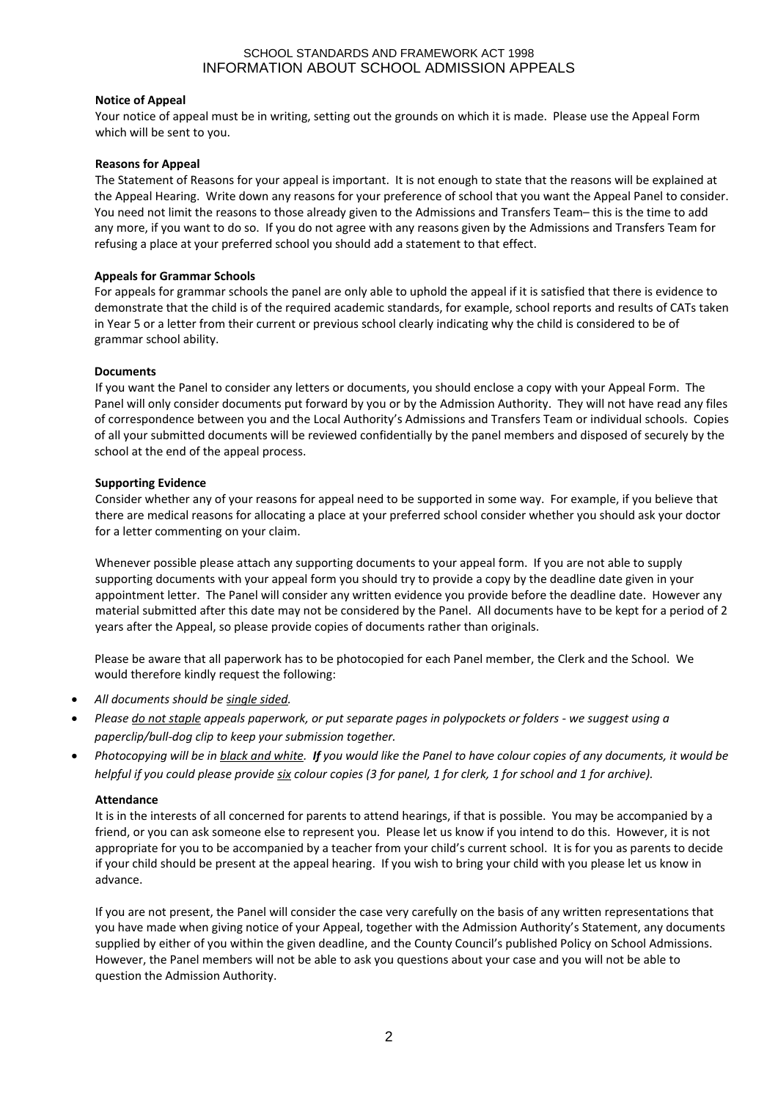# **Notice of Appeal**

Your notice of appeal must be in writing, setting out the grounds on which it is made. Please use the Appeal Form which will be sent to you.

# **Reasons for Appeal**

The Statement of Reasons for your appeal is important. It is not enough to state that the reasons will be explained at the Appeal Hearing. Write down any reasons for your preference of school that you want the Appeal Panel to consider. You need not limit the reasons to those already given to the Admissions and Transfers Team– this is the time to add any more, if you want to do so. If you do not agree with any reasons given by the Admissions and Transfers Team for refusing a place at your preferred school you should add a statement to that effect.

# **Appeals for Grammar Schools**

For appeals for grammar schools the panel are only able to uphold the appeal if it is satisfied that there is evidence to demonstrate that the child is of the required academic standards, for example, school reports and results of CATs taken in Year 5 or a letter from their current or previous school clearly indicating why the child is considered to be of grammar school ability.

# **Documents**

If you want the Panel to consider any letters or documents, you should enclose a copy with your Appeal Form. The Panel will only consider documents put forward by you or by the Admission Authority. They will not have read any files of correspondence between you and the Local Authority's Admissions and Transfers Team or individual schools. Copies of all your submitted documents will be reviewed confidentially by the panel members and disposed of securely by the school at the end of the appeal process.

# **Supporting Evidence**

Consider whether any of your reasons for appeal need to be supported in some way. For example, if you believe that there are medical reasons for allocating a place at your preferred school consider whether you should ask your doctor for a letter commenting on your claim.

Whenever possible please attach any supporting documents to your appeal form. If you are not able to supply supporting documents with your appeal form you should try to provide a copy by the deadline date given in your appointment letter. The Panel will consider any written evidence you provide before the deadline date. However any material submitted after this date may not be considered by the Panel. All documents have to be kept for a period of 2 years after the Appeal, so please provide copies of documents rather than originals.

Please be aware that all paperwork has to be photocopied for each Panel member, the Clerk and the School. We would therefore kindly request the following:

- *All documents should be single sided.*
- *Please do not staple appeals paperwork, or put separate pages in polypockets or folders - we suggest using a paperclip/bull-dog clip to keep your submission together.*
- *Photocopying will be in black and white. If you would like the Panel to have colour copies of any documents, it would be helpful if you could please provide six colour copies (3 for panel, 1 for clerk, 1 for school and 1 for archive).*

# **Attendance**

It is in the interests of all concerned for parents to attend hearings, if that is possible. You may be accompanied by a friend, or you can ask someone else to represent you. Please let us know if you intend to do this. However, it is not appropriate for you to be accompanied by a teacher from your child's current school. It is for you as parents to decide if your child should be present at the appeal hearing. If you wish to bring your child with you please let us know in advance.

If you are not present, the Panel will consider the case very carefully on the basis of any written representations that you have made when giving notice of your Appeal, together with the Admission Authority's Statement, any documents supplied by either of you within the given deadline, and the County Council's published Policy on School Admissions. However, the Panel members will not be able to ask you questions about your case and you will not be able to question the Admission Authority.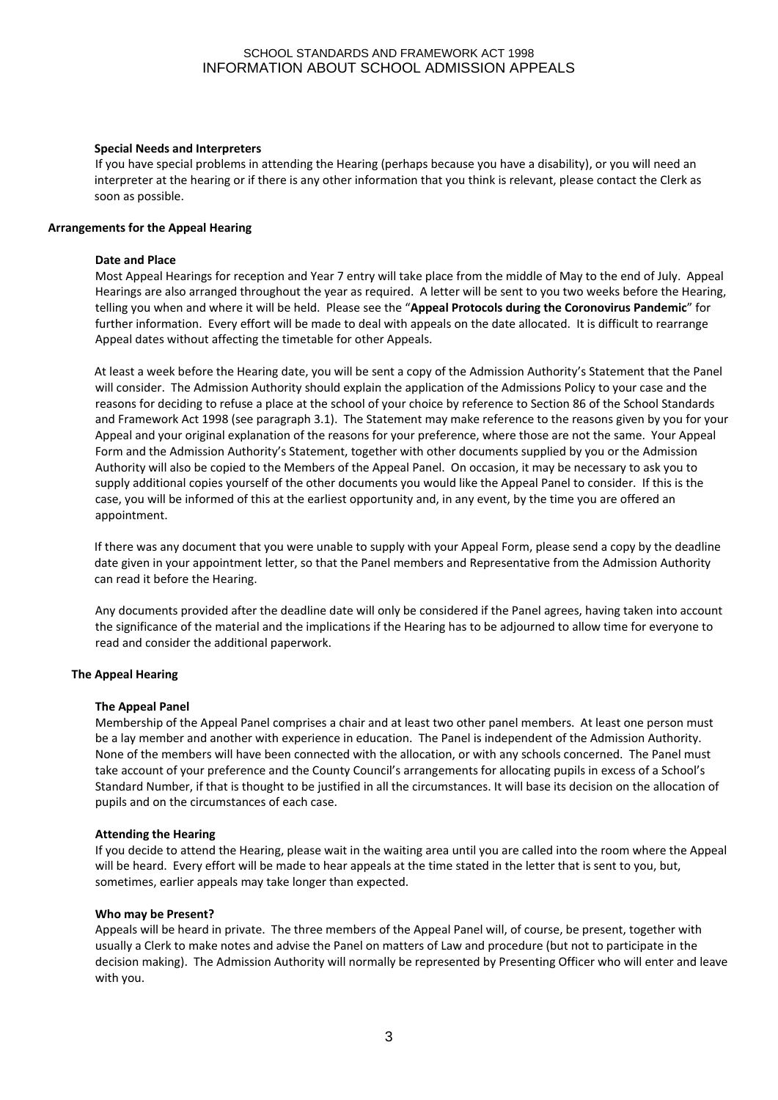## **Special Needs and Interpreters**

If you have special problems in attending the Hearing (perhaps because you have a disability), or you will need an interpreter at the hearing or if there is any other information that you think is relevant, please contact the Clerk as soon as possible.

### **Arrangements for the Appeal Hearing**

### **Date and Place**

Most Appeal Hearings for reception and Year 7 entry will take place from the middle of May to the end of July. Appeal Hearings are also arranged throughout the year as required. A letter will be sent to you two weeks before the Hearing, telling you when and where it will be held. Please see the "**Appeal Protocols during the Coronovirus Pandemic**" for further information. Every effort will be made to deal with appeals on the date allocated. It is difficult to rearrange Appeal dates without affecting the timetable for other Appeals.

At least a week before the Hearing date, you will be sent a copy of the Admission Authority's Statement that the Panel will consider. The Admission Authority should explain the application of the Admissions Policy to your case and the reasons for deciding to refuse a place at the school of your choice by reference to Section 86 of the School Standards and Framework Act 1998 (see paragraph 3.1). The Statement may make reference to the reasons given by you for your Appeal and your original explanation of the reasons for your preference, where those are not the same. Your Appeal Form and the Admission Authority's Statement, together with other documents supplied by you or the Admission Authority will also be copied to the Members of the Appeal Panel. On occasion, it may be necessary to ask you to supply additional copies yourself of the other documents you would like the Appeal Panel to consider. If this is the case, you will be informed of this at the earliest opportunity and, in any event, by the time you are offered an appointment.

If there was any document that you were unable to supply with your Appeal Form, please send a copy by the deadline date given in your appointment letter, so that the Panel members and Representative from the Admission Authority can read it before the Hearing.

Any documents provided after the deadline date will only be considered if the Panel agrees, having taken into account the significance of the material and the implications if the Hearing has to be adjourned to allow time for everyone to read and consider the additional paperwork.

### **The Appeal Hearing**

### **The Appeal Panel**

Membership of the Appeal Panel comprises a chair and at least two other panel members. At least one person must be a lay member and another with experience in education. The Panel is independent of the Admission Authority. None of the members will have been connected with the allocation, or with any schools concerned. The Panel must take account of your preference and the County Council's arrangements for allocating pupils in excess of a School's Standard Number, if that is thought to be justified in all the circumstances. It will base its decision on the allocation of pupils and on the circumstances of each case.

### **Attending the Hearing**

If you decide to attend the Hearing, please wait in the waiting area until you are called into the room where the Appeal will be heard. Every effort will be made to hear appeals at the time stated in the letter that is sent to you, but, sometimes, earlier appeals may take longer than expected.

### **Who may be Present?**

Appeals will be heard in private. The three members of the Appeal Panel will, of course, be present, together with usually a Clerk to make notes and advise the Panel on matters of Law and procedure (but not to participate in the decision making). The Admission Authority will normally be represented by Presenting Officer who will enter and leave with you.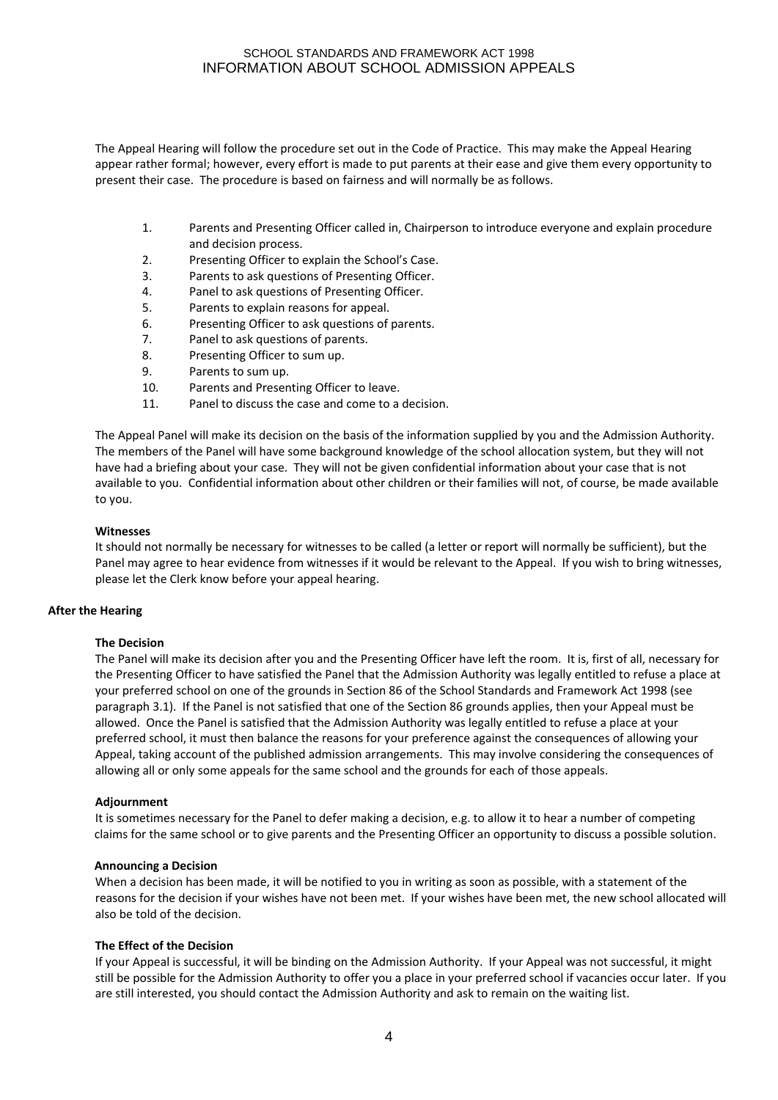The Appeal Hearing will follow the procedure set out in the Code of Practice. This may make the Appeal Hearing appear rather formal; however, every effort is made to put parents at their ease and give them every opportunity to present their case. The procedure is based on fairness and will normally be as follows.

- 1. Parents and Presenting Officer called in, Chairperson to introduce everyone and explain procedure and decision process.
- 2. Presenting Officer to explain the School's Case.
- 3. Parents to ask questions of Presenting Officer.
- 4. Panel to ask questions of Presenting Officer.
- 5. Parents to explain reasons for appeal.
- 6. Presenting Officer to ask questions of parents.
- 7. Panel to ask questions of parents.
- 8. Presenting Officer to sum up.
- 9. Parents to sum up.
- 10. Parents and Presenting Officer to leave.
- 11. Panel to discuss the case and come to a decision.

The Appeal Panel will make its decision on the basis of the information supplied by you and the Admission Authority. The members of the Panel will have some background knowledge of the school allocation system, but they will not have had a briefing about your case. They will not be given confidential information about your case that is not available to you. Confidential information about other children or their families will not, of course, be made available to you.

### **Witnesses**

It should not normally be necessary for witnesses to be called (a letter or report will normally be sufficient), but the Panel may agree to hear evidence from witnesses if it would be relevant to the Appeal. If you wish to bring witnesses, please let the Clerk know before your appeal hearing.

### **After the Hearing**

### **The Decision**

The Panel will make its decision after you and the Presenting Officer have left the room. It is, first of all, necessary for the Presenting Officer to have satisfied the Panel that the Admission Authority was legally entitled to refuse a place at your preferred school on one of the grounds in Section 86 of the School Standards and Framework Act 1998 (see paragraph 3.1). If the Panel is not satisfied that one of the Section 86 grounds applies, then your Appeal must be allowed. Once the Panel is satisfied that the Admission Authority was legally entitled to refuse a place at your preferred school, it must then balance the reasons for your preference against the consequences of allowing your Appeal, taking account of the published admission arrangements. This may involve considering the consequences of allowing all or only some appeals for the same school and the grounds for each of those appeals.

# **Adjournment**

It is sometimes necessary for the Panel to defer making a decision, e.g. to allow it to hear a number of competing claims for the same school or to give parents and the Presenting Officer an opportunity to discuss a possible solution.

### **Announcing a Decision**

When a decision has been made, it will be notified to you in writing as soon as possible, with a statement of the reasons for the decision if your wishes have not been met. If your wishes have been met, the new school allocated will also be told of the decision.

### **The Effect of the Decision**

If your Appeal is successful, it will be binding on the Admission Authority. If your Appeal was not successful, it might still be possible for the Admission Authority to offer you a place in your preferred school if vacancies occur later. If you are still interested, you should contact the Admission Authority and ask to remain on the waiting list.